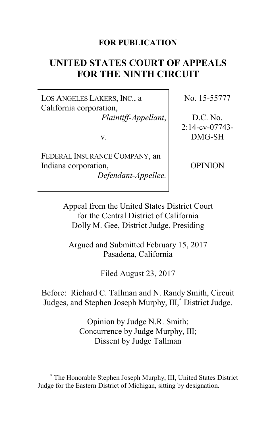### **FOR PUBLICATION**

# **UNITED STATES COURT OF APPEALS FOR THE NINTH CIRCUIT**

LOS ANGELES LAKERS, INC., a California corporation, *Plaintiff-Appellant*,

v.

FEDERAL INSURANCE COMPANY, an Indiana corporation, *Defendant-Appellee.* No. 15-55777

D.C. No. 2:14-cv-07743- DMG-SH

OPINION

Appeal from the United States District Court for the Central District of California Dolly M. Gee, District Judge, Presiding

Argued and Submitted February 15, 2017 Pasadena, California

Filed August 23, 2017

Before: Richard C. Tallman and N. Randy Smith, Circuit Judges, and Stephen Joseph Murphy, III, **\*** District Judge.

> Opinion by Judge N.R. Smith; Concurrence by Judge Murphy, III; Dissent by Judge Tallman

**<sup>\*</sup>** The Honorable Stephen Joseph Murphy, III, United States District Judge for the Eastern District of Michigan, sitting by designation.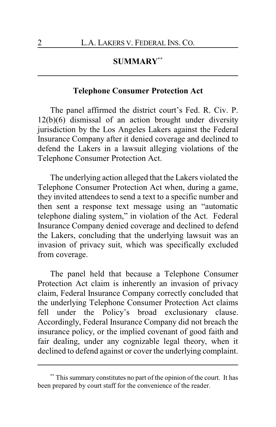# **SUMMARY\*\***

### **Telephone Consumer Protection Act**

The panel affirmed the district court's Fed. R. Civ. P. 12(b)(6) dismissal of an action brought under diversity jurisdiction by the Los Angeles Lakers against the Federal Insurance Company after it denied coverage and declined to defend the Lakers in a lawsuit alleging violations of the Telephone Consumer Protection Act.

The underlying action alleged that the Lakers violated the Telephone Consumer Protection Act when, during a game, they invited attendees to send a text to a specific number and then sent a response text message using an "automatic telephone dialing system," in violation of the Act. Federal Insurance Company denied coverage and declined to defend the Lakers, concluding that the underlying lawsuit was an invasion of privacy suit, which was specifically excluded from coverage.

The panel held that because a Telephone Consumer Protection Act claim is inherently an invasion of privacy claim, Federal Insurance Company correctly concluded that the underlying Telephone Consumer Protection Act claims fell under the Policy's broad exclusionary clause. Accordingly, Federal Insurance Company did not breach the insurance policy, or the implied covenant of good faith and fair dealing, under any cognizable legal theory, when it declined to defend against or cover the underlying complaint.

**<sup>\*\*</sup>** This summary constitutes no part of the opinion of the court. It has been prepared by court staff for the convenience of the reader.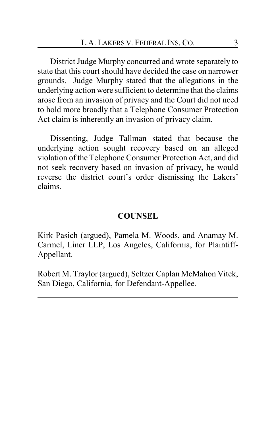District Judge Murphy concurred and wrote separately to state that this court should have decided the case on narrower grounds. Judge Murphy stated that the allegations in the underlying action were sufficient to determine that the claims arose from an invasion of privacy and the Court did not need to hold more broadly that a Telephone Consumer Protection Act claim is inherently an invasion of privacy claim.

Dissenting, Judge Tallman stated that because the underlying action sought recovery based on an alleged violation of the Telephone Consumer Protection Act, and did not seek recovery based on invasion of privacy, he would reverse the district court's order dismissing the Lakers' claims.

#### **COUNSEL**

Kirk Pasich (argued), Pamela M. Woods, and Anamay M. Carmel, Liner LLP, Los Angeles, California, for Plaintiff-Appellant.

Robert M. Traylor (argued), Seltzer Caplan McMahon Vitek, San Diego, California, for Defendant-Appellee.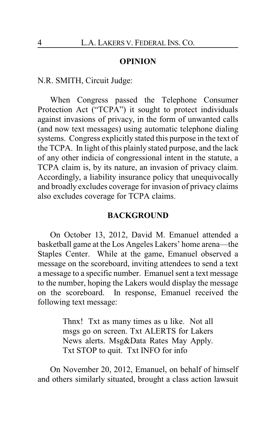#### **OPINION**

N.R. SMITH, Circuit Judge:

When Congress passed the Telephone Consumer Protection Act ("TCPA") it sought to protect individuals against invasions of privacy, in the form of unwanted calls (and now text messages) using automatic telephone dialing systems. Congress explicitly stated this purpose in the text of the TCPA. In light of this plainly stated purpose, and the lack of any other indicia of congressional intent in the statute, a TCPA claim is, by its nature, an invasion of privacy claim. Accordingly, a liability insurance policy that unequivocally and broadly excludes coverage for invasion of privacy claims also excludes coverage for TCPA claims.

#### **BACKGROUND**

On October 13, 2012, David M. Emanuel attended a basketball game at the Los Angeles Lakers' home arena—the Staples Center. While at the game, Emanuel observed a message on the scoreboard, inviting attendees to send a text a message to a specific number. Emanuel sent a text message to the number, hoping the Lakers would display the message on the scoreboard. In response, Emanuel received the following text message:

> Thnx! Txt as many times as u like. Not all msgs go on screen. Txt ALERTS for Lakers News alerts. Msg&Data Rates May Apply. Txt STOP to quit. Txt INFO for info

On November 20, 2012, Emanuel, on behalf of himself and others similarly situated, brought a class action lawsuit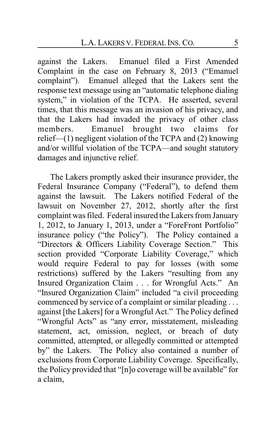against the Lakers. Emanuel filed a First Amended Complaint in the case on February 8, 2013 ("Emanuel complaint"). Emanuel alleged that the Lakers sent the response text message using an "automatic telephone dialing system," in violation of the TCPA. He asserted, several times, that this message was an invasion of his privacy, and that the Lakers had invaded the privacy of other class members. Emanuel brought two claims for relief—(1) negligent violation of the TCPA and (2) knowing and/or willful violation of the TCPA—and sought statutory damages and injunctive relief.

The Lakers promptly asked their insurance provider, the Federal Insurance Company ("Federal"), to defend them against the lawsuit. The Lakers notified Federal of the lawsuit on November 27, 2012, shortly after the first complaint was filed. Federal insured the Lakers from January 1, 2012, to January 1, 2013, under a "ForeFront Portfolio" insurance policy ("the Policy"). The Policy contained a "Directors & Officers Liability Coverage Section." This section provided "Corporate Liability Coverage," which would require Federal to pay for losses (with some restrictions) suffered by the Lakers "resulting from any Insured Organization Claim . . . for Wrongful Acts." An "Insured Organization Claim" included "a civil proceeding commenced by service of a complaint or similar pleading . . . against [the Lakers] for a Wrongful Act." The Policy defined "Wrongful Acts" as "any error, misstatement, misleading statement, act, omission, neglect, or breach of duty committed, attempted, or allegedly committed or attempted by" the Lakers. The Policy also contained a number of exclusions from Corporate Liability Coverage. Specifically, the Policy provided that "[n]o coverage will be available" for a claim,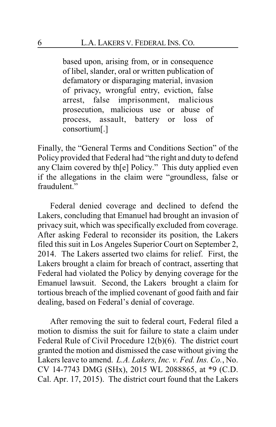based upon, arising from, or in consequence of libel, slander, oral or written publication of defamatory or disparaging material, invasion of privacy, wrongful entry, eviction, false arrest, false imprisonment, malicious prosecution, malicious use or abuse of process, assault, battery or loss of consortium[.]

Finally, the "General Terms and Conditions Section" of the Policy provided that Federal had "the right and duty to defend any Claim covered by th[e] Policy." This duty applied even if the allegations in the claim were "groundless, false or fraudulent."

Federal denied coverage and declined to defend the Lakers, concluding that Emanuel had brought an invasion of privacy suit, which was specifically excluded from coverage. After asking Federal to reconsider its position, the Lakers filed this suit in Los Angeles Superior Court on September 2, 2014. The Lakers asserted two claims for relief. First, the Lakers brought a claim for breach of contract, asserting that Federal had violated the Policy by denying coverage for the Emanuel lawsuit. Second, the Lakers brought a claim for tortious breach of the implied covenant of good faith and fair dealing, based on Federal's denial of coverage.

After removing the suit to federal court, Federal filed a motion to dismiss the suit for failure to state a claim under Federal Rule of Civil Procedure 12(b)(6). The district court granted the motion and dismissed the case without giving the Lakers leave to amend. *L.A. Lakers, Inc. v. Fed. Ins. Co.*, No. CV 14-7743 DMG (SHx), 2015 WL 2088865, at \*9 (C.D. Cal. Apr. 17, 2015). The district court found that the Lakers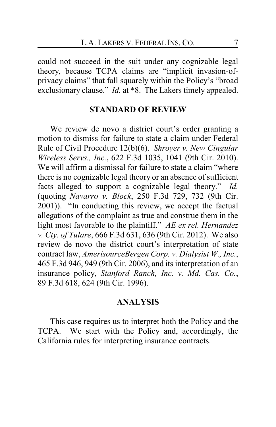could not succeed in the suit under any cognizable legal theory, because TCPA claims are "implicit invasion-ofprivacy claims" that fall squarely within the Policy's "broad exclusionary clause." *Id.* at \*8. The Lakers timely appealed.

#### **STANDARD OF REVIEW**

We review de novo a district court's order granting a motion to dismiss for failure to state a claim under Federal Rule of Civil Procedure 12(b)(6). *Shroyer v. New Cingular Wireless Servs., Inc.*, 622 F.3d 1035, 1041 (9th Cir. 2010). We will affirm a dismissal for failure to state a claim "where there is no cognizable legal theory or an absence of sufficient facts alleged to support a cognizable legal theory." *Id.* (quoting *Navarro v. Block*, 250 F.3d 729, 732 (9th Cir. 2001)). "In conducting this review, we accept the factual allegations of the complaint as true and construe them in the light most favorable to the plaintiff." *AE ex rel. Hernandez v. Cty. of Tulare*, 666 F.3d 631, 636 (9th Cir. 2012). We also review de novo the district court's interpretation of state contract law, *AmerisourceBergen Corp. v. Dialysist W., Inc.*, 465 F.3d 946, 949 (9th Cir. 2006), and its interpretation of an insurance policy, *Stanford Ranch, Inc. v. Md. Cas. Co.*, 89 F.3d 618, 624 (9th Cir. 1996).

### **ANALYSIS**

This case requires us to interpret both the Policy and the TCPA. We start with the Policy and, accordingly, the California rules for interpreting insurance contracts.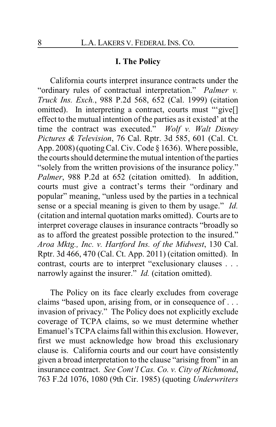## **I. The Policy**

California courts interpret insurance contracts under the "ordinary rules of contractual interpretation." *Palmer v. Truck Ins. Exch.*, 988 P.2d 568, 652 (Cal. 1999) (citation omitted). In interpreting a contract, courts must "give[] effect to the mutual intention of the parties as it existed' at the time the contract was executed." *Wolf v. Walt Disney Pictures & Television*, 76 Cal. Rptr. 3d 585, 601 (Cal. Ct. App. 2008) (quoting Cal. Civ. Code § 1636). Where possible, the courts should determine the mutual intention of the parties "solely from the written provisions of the insurance policy." *Palmer*, 988 P.2d at 652 (citation omitted). In addition, courts must give a contract's terms their "ordinary and popular" meaning, "unless used by the parties in a technical sense or a special meaning is given to them by usage." *Id.* (citation and internal quotation marks omitted). Courts are to interpret coverage clauses in insurance contracts "broadly so as to afford the greatest possible protection to the insured." *Aroa Mktg., Inc. v. Hartford Ins. of the Midwest*, 130 Cal. Rptr. 3d 466, 470 (Cal. Ct. App. 2011) (citation omitted). In contrast, courts are to interpret "exclusionary clauses . . . narrowly against the insurer." *Id.* (citation omitted).

The Policy on its face clearly excludes from coverage claims "based upon, arising from, or in consequence of . . . invasion of privacy." The Policy does not explicitly exclude coverage of TCPA claims, so we must determine whether Emanuel's TCPA claims fall within this exclusion. However, first we must acknowledge how broad this exclusionary clause is. California courts and our court have consistently given a broad interpretation to the clause "arising from" in an insurance contract. *See Cont'l Cas. Co. v. City of Richmond*, 763 F.2d 1076, 1080 (9th Cir. 1985) (quoting *Underwriters*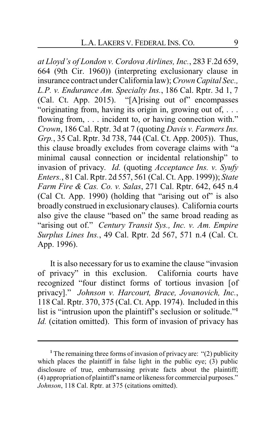*at Lloyd's of London v. Cordova Airlines, Inc.*, 283 F.2d 659, 664 (9th Cir. 1960)) (interpreting exclusionary clause in insurance contract under California law); *CrownCapital Sec., L.P. v. Endurance Am. Specialty Ins.*, 186 Cal. Rptr. 3d 1, 7 (Cal. Ct. App. 2015). "[A]rising out of" encompasses "originating from, having its origin in, growing out of, . . . flowing from, ... incident to, or having connection with." *Crown*, 186 Cal. Rptr. 3d at 7 (quoting *Davis v. Farmers Ins. Grp.*, 35 Cal. Rptr. 3d 738, 744 (Cal. Ct. App. 2005)). Thus, this clause broadly excludes from coverage claims with "a minimal causal connection or incidental relationship" to invasion of privacy. *Id.* (quoting *Acceptance Ins. v. Syufy Enters.*, 81 Cal. Rptr. 2d 557, 561 (Cal. Ct. App. 1999)); *State Farm Fire & Cas. Co. v. Salas*, 271 Cal. Rptr. 642, 645 n.4 (Cal Ct. App. 1990) (holding that "arising out of" is also broadly construed in exclusionary clauses). California courts also give the clause "based on" the same broad reading as "arising out of." *Century Transit Sys., Inc. v. Am. Empire Surplus Lines Ins.*, 49 Cal. Rptr. 2d 567, 571 n.4 (Cal. Ct. App. 1996).

It is also necessary for us to examine the clause "invasion of privacy" in this exclusion. California courts have recognized "four distinct forms of tortious invasion [of privacy]." *Johnson v. Harcourt, Brace, Jovanovich, Inc.*, 118 Cal. Rptr. 370, 375 (Cal. Ct. App. 1974). Included in this list is "intrusion upon the plaintiff's seclusion or solitude."**<sup>1</sup>** *Id.* (citation omitted). This form of invasion of privacy has

**<sup>1</sup>** The remaining three forms of invasion of privacy are: "(2) publicity which places the plaintiff in false light in the public eye; (3) public disclosure of true, embarrassing private facts about the plaintiff; (4) appropriation of plaintiff's name orlikeness for commercial purposes." *Johnson*, 118 Cal. Rptr. at 375 (citations omitted).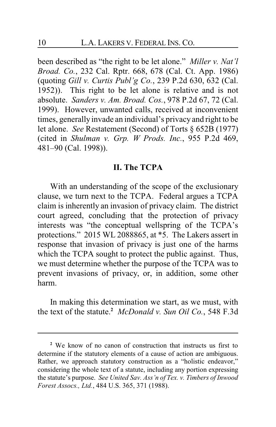been described as "the right to be let alone." *Miller v. Nat'l Broad. Co.*, 232 Cal. Rptr. 668, 678 (Cal. Ct. App. 1986) (quoting *Gill v. Curtis Publ'g Co.*, 239 P.2d 630, 632 (Cal. 1952)). This right to be let alone is relative and is not absolute. *Sanders v. Am. Broad. Cos.*, 978 P.2d 67, 72 (Cal. 1999). However, unwanted calls, received at inconvenient times, generally invade an individual's privacy and right to be let alone. *See* Restatement (Second) of Torts § 652B (1977) (cited in *Shulman v. Grp. W Prods. Inc.*, 955 P.2d 469, 481–90 (Cal. 1998)).

### **II. The TCPA**

With an understanding of the scope of the exclusionary clause, we turn next to the TCPA. Federal argues a TCPA claim is inherently an invasion of privacy claim. The district court agreed, concluding that the protection of privacy interests was "the conceptual wellspring of the TCPA's protections." 2015 WL 2088865, at \*5. The Lakers assert in response that invasion of privacy is just one of the harms which the TCPA sought to protect the public against. Thus, we must determine whether the purpose of the TCPA was to prevent invasions of privacy, or, in addition, some other harm.

In making this determination we start, as we must, with the text of the statute.**<sup>2</sup>** *McDonald v. Sun Oil Co.*, 548 F.3d

**<sup>2</sup>** We know of no canon of construction that instructs us first to determine if the statutory elements of a cause of action are ambiguous. Rather, we approach statutory construction as a "holistic endeavor," considering the whole text of a statute, including any portion expressing the statute's purpose. *See United Sav. Ass'n of Tex. v. Timbers of Inwood Forest Assocs., Ltd.*, 484 U.S. 365, 371 (1988).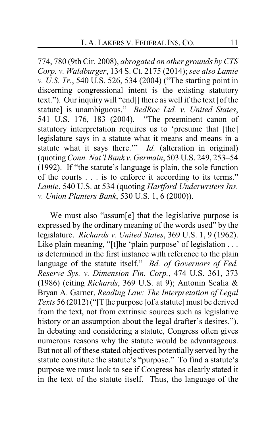774, 780 (9th Cir. 2008), *abrogated on other grounds by CTS Corp. v. Waldburger*, 134 S. Ct. 2175 (2014); *see also Lamie v. U.S. Tr.*, 540 U.S. 526, 534 (2004) ("The starting point in discerning congressional intent is the existing statutory text."). Our inquiry will "end[] there as well if the text [of the statute] is unambiguous." *BedRoc Ltd. v. United States*, 541 U.S. 176, 183 (2004). "The preeminent canon of statutory interpretation requires us to 'presume that [the] legislature says in a statute what it means and means in a statute what it says there.'" *Id.* (alteration in original) (quoting*Conn. Nat'l Bank v. Germain*, 503 U.S. 249, 253–54 (1992). If "the statute's language is plain, the sole function of the courts . . . is to enforce it according to its terms." *Lamie*, 540 U.S. at 534 (quoting *Hartford Underwriters Ins. v. Union Planters Bank*, 530 U.S. 1, 6 (2000)).

We must also "assum[e] that the legislative purpose is expressed by the ordinary meaning of the words used" by the legislature. *Richards v. United States*, 369 U.S. 1, 9 (1962). Like plain meaning, "[t]he 'plain purpose' of legislation . . . is determined in the first instance with reference to the plain language of the statute itself." *Bd. of Governors of Fed. Reserve Sys. v. Dimension Fin. Corp.*, 474 U.S. 361, 373 (1986) (citing *Richards*, 369 U.S. at 9); Antonin Scalia & Bryan A. Garner, *Reading Law: The Interpretation of Legal Texts* 56 (2012) ("[T]he purpose [of a statute] must be derived from the text, not from extrinsic sources such as legislative history or an assumption about the legal drafter's desires."). In debating and considering a statute, Congress often gives numerous reasons why the statute would be advantageous. But not all of these stated objectives potentially served by the statute constitute the statute's "purpose." To find a statute's purpose we must look to see if Congress has clearly stated it in the text of the statute itself. Thus, the language of the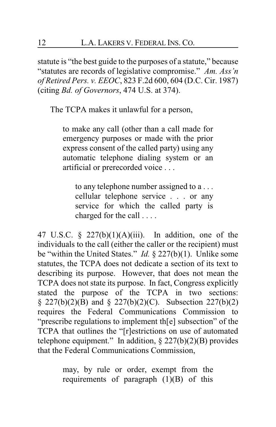statute is "the best guide to the purposes of a statute," because "statutes are records of legislative compromise." *Am. Ass'n of Retired Pers. v. EEOC*, 823 F.2d 600, 604 (D.C. Cir. 1987) (citing *Bd. of Governors*, 474 U.S. at 374).

The TCPA makes it unlawful for a person,

to make any call (other than a call made for emergency purposes or made with the prior express consent of the called party) using any automatic telephone dialing system or an artificial or prerecorded voice . . .

to any telephone number assigned to a . . . cellular telephone service . . . or any service for which the called party is charged for the call . . . .

47 U.S.C. §  $227(b)(1)(A)(iii)$ . In addition, one of the individuals to the call (either the caller or the recipient) must be "within the United States." *Id.* § 227(b)(1). Unlike some statutes, the TCPA does not dedicate a section of its text to describing its purpose. However, that does not mean the TCPA does not state its purpose. In fact, Congress explicitly stated the purpose of the TCPA in two sections:  $\S$  227(b)(2)(B) and  $\S$  227(b)(2)(C). Subsection 227(b)(2) requires the Federal Communications Commission to "prescribe regulations to implement th[e] subsection" of the TCPA that outlines the "[r]estrictions on use of automated telephone equipment." In addition,  $\S 227(b)(2)(B)$  provides that the Federal Communications Commission,

> may, by rule or order, exempt from the requirements of paragraph (1)(B) of this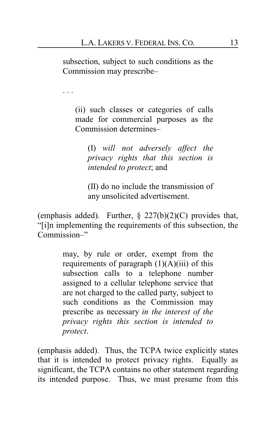subsection, subject to such conditions as the Commission may prescribe–

. . .

(ii) such classes or categories of calls made for commercial purposes as the Commission determines–

(I) *will not adversely affect the privacy rights that this section is intended to protect*; and

(II) do no include the transmission of any unsolicited advertisement.

(emphasis added). Further,  $\S$  227(b)(2)(C) provides that, "[i]n implementing the requirements of this subsection, the Commission–"

> may, by rule or order, exempt from the requirements of paragraph  $(1)(A)(iii)$  of this subsection calls to a telephone number assigned to a cellular telephone service that are not charged to the called party, subject to such conditions as the Commission may prescribe as necessary *in the interest of the privacy rights this section is intended to protect*.

(emphasis added). Thus, the TCPA twice explicitly states that it is intended to protect privacy rights. Equally as significant, the TCPA contains no other statement regarding its intended purpose. Thus, we must presume from this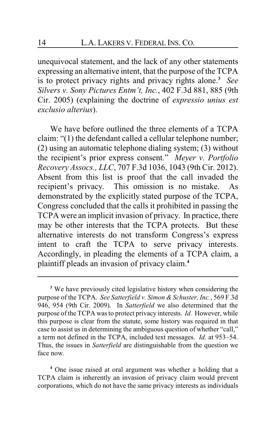unequivocal statement, and the lack of any other statements expressing an alternative intent, that the purpose of the TCPA is to protect privacy rights and privacy rights alone.**<sup>3</sup>** *See Silvers v. Sony Pictures Entm't, Inc.*, 402 F.3d 881, 885 (9th Cir. 2005) (explaining the doctrine of *expressio unius est exclusio alterius*).

We have before outlined the three elements of a TCPA claim: "(1) the defendant called a cellular telephone number; (2) using an automatic telephone dialing system; (3) without the recipient's prior express consent." *Meyer v. Portfolio Recovery Assocs., LLC*, 707 F.3d 1036, 1043 (9th Cir. 2012). Absent from this list is proof that the call invaded the recipient's privacy. This omission is no mistake. As demonstrated by the explicitly stated purpose of the TCPA, Congress concluded that the calls it prohibited in passing the TCPA were an implicit invasion of privacy. In practice, there may be other interests that the TCPA protects. But these alternative interests do not transform Congress's express intent to craft the TCPA to serve privacy interests. Accordingly, in pleading the elements of a TCPA claim, a plaintiff pleads an invasion of privacy claim.**<sup>4</sup>**

**<sup>4</sup>** One issue raised at oral argument was whether a holding that a TCPA claim is inherently an invasion of privacy claim would prevent corporations, which do not have the same privacy interests as individuals

**<sup>3</sup>** We have previously cited legislative history when considering the purpose of the TCPA. *See Satterfield v. Simon & Schuster, Inc.*, 569 F.3d 946, 954 (9th Cir. 2009). In *Satterfield* we also determined that the purpose of the TCPA was to protect privacy interests. *Id.* However, while this purpose is clear from the statute, some history was required in that case to assist us in determining the ambiguous question of whether "call," a term not defined in the TCPA, included text messages. *Id.* at 953–54. Thus, the issues in *Satterfield* are distinguishable from the question we face now.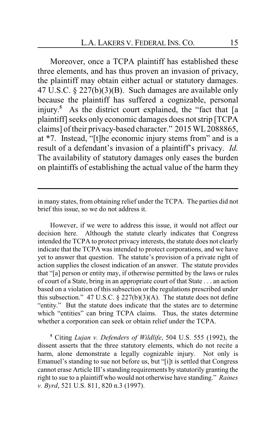Moreover, once a TCPA plaintiff has established these three elements, and has thus proven an invasion of privacy, the plaintiff may obtain either actual or statutory damages. 47 U.S.C. § 227(b)(3)(B). Such damages are available only because the plaintiff has suffered a cognizable, personal injury. **<sup>5</sup>** As the district court explained, the "fact that [a plaintiff] seeks only economic damages does not strip [TCPA] claims] of their privacy-based character." 2015 WL 2088865, at \*7. Instead, "[t]he economic injury stems from" and is a result of a defendant's invasion of a plaintiff's privacy. *Id.* The availability of statutory damages only eases the burden on plaintiffs of establishing the actual value of the harm they

in many states, from obtaining relief under the TCPA. The parties did not brief this issue, so we do not address it.

However, if we were to address this issue, it would not affect our decision here. Although the statute clearly indicates that Congress intended the TCPA to protect privacy interests, the statute does not clearly indicate that the TCPA was intended to protect corporations, and we have yet to answer that question. The statute's provision of a private right of action supplies the closest indication of an answer. The statute provides that "[a] person or entity may, if otherwise permitted by the laws or rules of court of a State, bring in an appropriate court of that State . . . an action based on a violation of this subsection or the regulations prescribed under this subsection." 47 U.S.C.  $\S 227(b)(3)(A)$ . The statute does not define "entity." But the statute does indicate that the states are to determine which "entities" can bring TCPA claims. Thus, the states determine whether a corporation can seek or obtain relief under the TCPA.

**<sup>5</sup>** Citing *Lujan v. Defenders of Wildlife*, 504 U.S. 555 (1992), the dissent asserts that the three statutory elements, which do not recite a harm, alone demonstrate a legally cognizable injury. Not only is Emanuel's standing to sue not before us, but "[i]t is settled that Congress cannot erase Article III's standing requirements by statutorily granting the right to sue to a plaintiff who would not otherwise have standing." *Raines v. Byrd*, 521 U.S. 811, 820 n.3 (1997).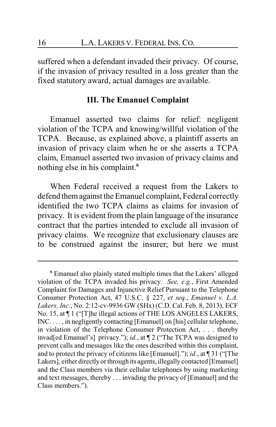suffered when a defendant invaded their privacy. Of course, if the invasion of privacy resulted in a loss greater than the fixed statutory award, actual damages are available.

### **III. The Emanuel Complaint**

Emanuel asserted two claims for relief: negligent violation of the TCPA and knowing/willful violation of the TCPA. Because, as explained above, a plaintiff asserts an invasion of privacy claim when he or she asserts a TCPA claim, Emanuel asserted two invasion of privacy claims and nothing else in his complaint.**<sup>6</sup>**

When Federal received a request from the Lakers to defend themagainst the Emanuel complaint, Federal correctly identified the two TCPA claims as claims for invasion of privacy. It is evident from the plain language of the insurance contract that the parties intended to exclude all invasion of privacy claims. We recognize that exclusionary clauses are to be construed against the insurer; but here we must

**<sup>6</sup>** Emanuel also plainly stated multiple times that the Lakers' alleged violation of the TCPA invaded his privacy. *See, e.g.*, First Amended Complaint for Damages and Injunctive Relief Pursuant to the Telephone Consumer Protection Act, 47 U.S.C. § 227, *et seq.*, *Emanuel v. L.A. Lakers, Inc.*, No. 2:12-cv-9936 GW (SHx) (C.D. Cal. Feb. 8, 2013), ECF No. 15, at ¶ 1 ("[T]he illegal actions of THE LOS ANGELES LAKERS, INC. . . . , in negligently contacting [Emanuel] on [his] cellular telephone, in violation of the Telephone Consumer Protection Act, . . . thereby invad[ed Emanuel's] privacy."); *id.*, at ¶ 2 ("The TCPA was designed to prevent calls and messages like the ones described within this complaint, and to protect the privacy of citizens like [Emanuel]."); *id.*, at ¶ 31 ("[The Lakers], either directly or through its agents, illegally contacted [Emanuel] and the Class members via their cellular telephones by using marketing and text messages, thereby . . . invading the privacy of [Emanuel] and the Class members.").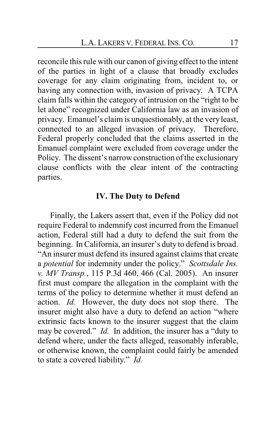reconcile this rule with our canon of giving effect to the intent of the parties in light of a clause that broadly excludes coverage for any claim originating from, incident to, or having any connection with, invasion of privacy. A TCPA claim falls within the category of intrusion on the "right to be let alone" recognized under California law as an invasion of privacy. Emanuel's claim is unquestionably, at the very least, connected to an alleged invasion of privacy. Therefore, Federal properly concluded that the claims asserted in the Emanuel complaint were excluded from coverage under the Policy. The dissent's narrow construction of the exclusionary clause conflicts with the clear intent of the contracting parties.

#### **IV. The Duty to Defend**

Finally, the Lakers assert that, even if the Policy did not require Federal to indemnify cost incurred from the Emanuel action, Federal still had a duty to defend the suit from the beginning. In California, an insurer's duty to defend is broad. "An insurer must defend its insured against claims that create a *potential* for indemnity under the policy." *Scottsdale Ins. v. MV Transp.*, 115 P.3d 460, 466 (Cal. 2005). An insurer first must compare the allegation in the complaint with the terms of the policy to determine whether it must defend an action. *Id.* However, the duty does not stop there. The insurer might also have a duty to defend an action "where extrinsic facts known to the insurer suggest that the claim may be covered." *Id.* In addition, the insurer has a "duty to defend where, under the facts alleged, reasonably inferable, or otherwise known, the complaint could fairly be amended to state a covered liability." *Id.*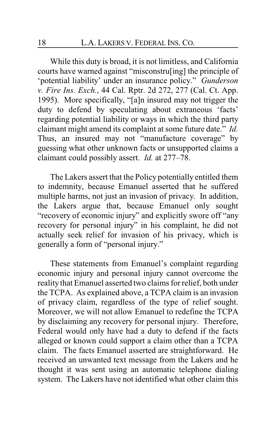While this duty is broad, it is not limitless, and California courts have warned against "misconstru[ing] the principle of 'potential liability' under an insurance policy." *Gunderson v. Fire Ins. Exch.*, 44 Cal. Rptr. 2d 272, 277 (Cal. Ct. App. 1995). More specifically, "[a]n insured may not trigger the duty to defend by speculating about extraneous 'facts' regarding potential liability or ways in which the third party claimant might amend its complaint at some future date." *Id.*  Thus, an insured may not "manufacture coverage" by guessing what other unknown facts or unsupported claims a claimant could possibly assert. *Id.* at 277–78.

The Lakers assert that the Policy potentially entitled them to indemnity, because Emanuel asserted that he suffered multiple harms, not just an invasion of privacy. In addition, the Lakers argue that, because Emanuel only sought "recovery of economic injury" and explicitly swore off "any recovery for personal injury" in his complaint, he did not actually seek relief for invasion of his privacy, which is generally a form of "personal injury."

These statements from Emanuel's complaint regarding economic injury and personal injury cannot overcome the reality that Emanuel asserted two claims for relief, both under the TCPA. As explained above, a TCPA claim is an invasion of privacy claim, regardless of the type of relief sought. Moreover, we will not allow Emanuel to redefine the TCPA by disclaiming any recovery for personal injury. Therefore, Federal would only have had a duty to defend if the facts alleged or known could support a claim other than a TCPA claim. The facts Emanuel asserted are straightforward. He received an unwanted text message from the Lakers and he thought it was sent using an automatic telephone dialing system. The Lakers have not identified what other claim this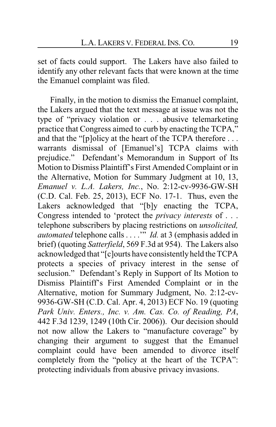set of facts could support. The Lakers have also failed to identify any other relevant facts that were known at the time the Emanuel complaint was filed.

Finally, in the motion to dismiss the Emanuel complaint, the Lakers argued that the text message at issue was not the type of "privacy violation or . . . abusive telemarketing practice that Congress aimed to curb by enacting the TCPA," and that the "[p]olicy at the heart of the TCPA therefore . . . warrants dismissal of [Emanuel's] TCPA claims with prejudice." Defendant's Memorandum in Support of Its Motion to Dismiss Plaintiff's First Amended Complaint or in the Alternative, Motion for Summary Judgment at 10, 13, *Emanuel v. L.A. Lakers, Inc.*, No. 2:12-cv-9936-GW-SH (C.D. Cal. Feb. 25, 2013), ECF No. 17-1. Thus, even the Lakers acknowledged that "[b]y enacting the TCPA, Congress intended to 'protect the *privacy interests* of . . . telephone subscribers by placing restrictions on *unsolicited, automated* telephone calls . . . .'" *Id.* at 3 (emphasis added in brief) (quoting *Satterfield*, 569 F.3d at 954). The Lakers also acknowledged that "[c]ourts have consistentlyheld the TCPA protects a species of privacy interest in the sense of seclusion." Defendant's Reply in Support of Its Motion to Dismiss Plaintiff's First Amended Complaint or in the Alternative, motion for Summary Judgment, No. 2:12-cv-9936-GW-SH (C.D. Cal. Apr. 4, 2013) ECF No. 19 (quoting *Park Univ. Enters., Inc. v. Am. Cas. Co. of Reading, PA*, 442 F.3d 1239, 1249 (10th Cir. 2006)). Our decision should not now allow the Lakers to "manufacture coverage" by changing their argument to suggest that the Emanuel complaint could have been amended to divorce itself completely from the "policy at the heart of the TCPA": protecting individuals from abusive privacy invasions.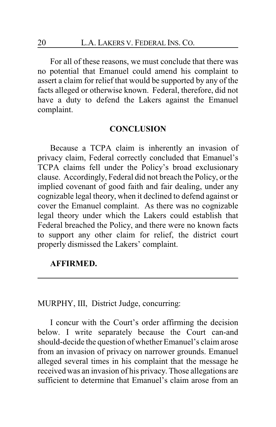For all of these reasons, we must conclude that there was no potential that Emanuel could amend his complaint to assert a claim for relief that would be supported by any of the facts alleged or otherwise known. Federal, therefore, did not have a duty to defend the Lakers against the Emanuel complaint.

### **CONCLUSION**

Because a TCPA claim is inherently an invasion of privacy claim, Federal correctly concluded that Emanuel's TCPA claims fell under the Policy's broad exclusionary clause. Accordingly, Federal did not breach the Policy, or the implied covenant of good faith and fair dealing, under any cognizable legal theory, when it declined to defend against or cover the Emanuel complaint. As there was no cognizable legal theory under which the Lakers could establish that Federal breached the Policy, and there were no known facts to support any other claim for relief, the district court properly dismissed the Lakers' complaint.

#### **AFFIRMED.**

MURPHY, III, District Judge, concurring:

I concur with the Court's order affirming the decision below. I write separately because the Court can-and should-decide the question of whether Emanuel's claim arose from an invasion of privacy on narrower grounds. Emanuel alleged several times in his complaint that the message he received was an invasion of his privacy. Those allegations are sufficient to determine that Emanuel's claim arose from an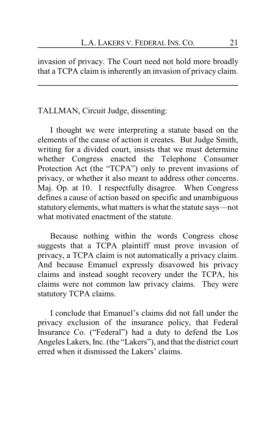invasion of privacy. The Court need not hold more broadly that a TCPA claim is inherently an invasion of privacy claim.

### TALLMAN, Circuit Judge, dissenting:

I thought we were interpreting a statute based on the elements of the cause of action it creates. But Judge Smith, writing for a divided court, insists that we must determine whether Congress enacted the Telephone Consumer Protection Act (the "TCPA") only to prevent invasions of privacy, or whether it also meant to address other concerns. Maj. Op. at 10. I respectfully disagree. When Congress defines a cause of action based on specific and unambiguous statutory elements, what matters is what the statute says—not what motivated enactment of the statute.

Because nothing within the words Congress chose suggests that a TCPA plaintiff must prove invasion of privacy, a TCPA claim is not automatically a privacy claim. And because Emanuel expressly disavowed his privacy claims and instead sought recovery under the TCPA, his claims were not common law privacy claims. They were statutory TCPA claims.

I conclude that Emanuel's claims did not fall under the privacy exclusion of the insurance policy, that Federal Insurance Co. ("Federal") had a duty to defend the Los Angeles Lakers, Inc. (the "Lakers"), and that the district court erred when it dismissed the Lakers' claims.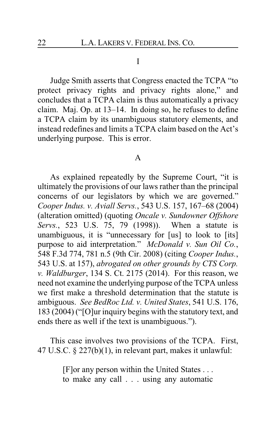#### I

Judge Smith asserts that Congress enacted the TCPA "to protect privacy rights and privacy rights alone," and concludes that a TCPA claim is thus automatically a privacy claim. Maj. Op. at 13–14. In doing so, he refuses to define a TCPA claim by its unambiguous statutory elements, and instead redefines and limits a TCPA claim based on the Act's underlying purpose. This is error.

#### A

As explained repeatedly by the Supreme Court, "it is ultimately the provisions of our laws rather than the principal concerns of our legislators by which we are governed." *Cooper Indus. v. Aviall Servs.*, 543 U.S. 157, 167–68 (2004) (alteration omitted) (quoting *Oncale v. Sundowner Offshore Servs.*, 523 U.S. 75, 79 (1998)). When a statute is unambiguous, it is "unnecessary for [us] to look to [its] purpose to aid interpretation." *McDonald v. Sun Oil Co.*, 548 F.3d 774, 781 n.5 (9th Cir. 2008) (citing *Cooper Indus.*, 543 U.S. at 157), *abrogated on other grounds by CTS Corp. v. Waldburger*, 134 S. Ct. 2175 (2014). For this reason, we need not examine the underlying purpose of the TCPA unless we first make a threshold determination that the statute is ambiguous. *See BedRoc Ltd. v. United States*, 541 U.S. 176, 183 (2004) ("[O]ur inquiry begins with the statutory text, and ends there as well if the text is unambiguous.").

This case involves two provisions of the TCPA. First, 47 U.S.C. § 227(b)(1), in relevant part, makes it unlawful:

> [F]or any person within the United States . . . to make any call . . . using any automatic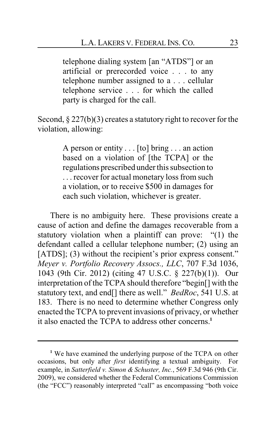telephone dialing system [an "ATDS"] or an artificial or prerecorded voice . . . to any telephone number assigned to a . . . cellular telephone service . . . for which the called party is charged for the call.

Second,  $\S 227(b)(3)$  creates a statutory right to recover for the violation, allowing:

> A person or entity . . . [to] bring . . . an action based on a violation of [the TCPA] or the regulations prescribed under this subsection to . . . recover for actual monetary loss from such a violation, or to receive \$500 in damages for each such violation, whichever is greater.

There is no ambiguity here. These provisions create a cause of action and define the damages recoverable from a statutory violation when a plaintiff can prove: "(1) the defendant called a cellular telephone number; (2) using an [ATDS]; (3) without the recipient's prior express consent." *Meyer v. Portfolio Recovery Assocs., LLC*, 707 F.3d 1036, 1043 (9th Cir. 2012) (citing 47 U.S.C. § 227(b)(1)). Our interpretation of the TCPA should therefore "begin[] with the statutory text, and end[] there as well." *BedRoc*, 541 U.S. at 183. There is no need to determine whether Congress only enacted the TCPA to prevent invasions of privacy, or whether it also enacted the TCPA to address other concerns.**<sup>1</sup>**

**<sup>1</sup>** We have examined the underlying purpose of the TCPA on other occasions, but only after *first* identifying a textual ambiguity. For example, in *Satterfield v. Simon & Schuster, Inc.*, 569 F.3d 946 (9th Cir. 2009), we considered whether the Federal Communications Commission (the "FCC") reasonably interpreted "call" as encompassing "both voice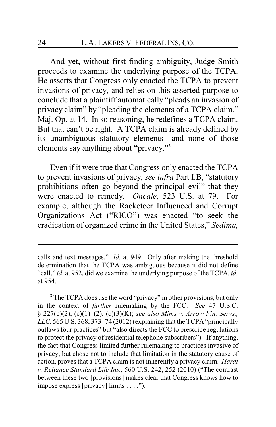And yet, without first finding ambiguity, Judge Smith proceeds to examine the underlying purpose of the TCPA. He asserts that Congress only enacted the TCPA to prevent invasions of privacy, and relies on this asserted purpose to conclude that a plaintiff automatically "pleads an invasion of privacy claim" by "pleading the elements of a TCPA claim." Maj. Op. at 14. In so reasoning, he redefines a TCPA claim. But that can't be right. A TCPA claim is already defined by its unambiguous statutory elements—and none of those elements say anything about "privacy."**<sup>2</sup>**

Even if it were true that Congress only enacted the TCPA to prevent invasions of privacy, *see infra* Part I.B, "statutory prohibitions often go beyond the principal evil" that they were enacted to remedy. *Oncale*, 523 U.S. at 79. For example, although the Racketeer Influenced and Corrupt Organizations Act ("RICO") was enacted "to seek the eradication of organized crime in the United States," *Sedima,*

calls and text messages." *Id.* at 949. Only after making the threshold determination that the TCPA was ambiguous because it did not define "call," *id.* at 952, did we examine the underlying purpose of the TCPA, *id.* at 954.

**<sup>2</sup>** The TCPA does use the word "privacy" in other provisions, but only in the context of *further* rulemaking by the FCC. *See* 47 U.S.C. § 227(b)(2), (c)(1)–(2), (c)(3)(K); *see also Mims v. Arrow Fin. Servs.,*  $LLC$ , 565 U.S. 368, 373–74 (2012) (explaining that the TCPA "principally outlaws four practices" but "also directs the FCC to prescribe regulations to protect the privacy of residential telephone subscribers"). If anything, the fact that Congress limited further rulemaking to practices invasive of privacy, but chose not to include that limitation in the statutory cause of action, proves that a TCPA claim is not inherently a privacy claim. *Hardt v. Reliance Standard Life Ins.*, 560 U.S. 242, 252 (2010) ("The contrast between these two [provisions] makes clear that Congress knows how to impose express [privacy] limits . . . .").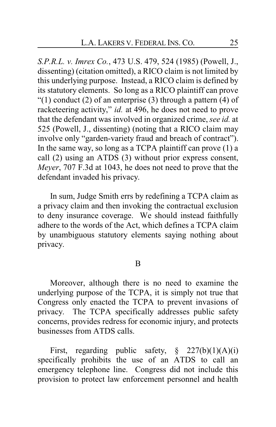*S.P.R.L. v. Imrex Co.*, 473 U.S. 479, 524 (1985) (Powell, J., dissenting) (citation omitted), a RICO claim is not limited by this underlying purpose. Instead, a RICO claim is defined by its statutory elements. So long as a RICO plaintiff can prove "(1) conduct (2) of an enterprise (3) through a pattern (4) of racketeering activity," *id.* at 496, he does not need to prove that the defendant was involved in organized crime, *see id.* at 525 (Powell, J., dissenting) (noting that a RICO claim may involve only "garden-variety fraud and breach of contract"). In the same way, so long as a TCPA plaintiff can prove (1) a call (2) using an ATDS (3) without prior express consent, *Meyer*, 707 F.3d at 1043, he does not need to prove that the defendant invaded his privacy.

In sum, Judge Smith errs by redefining a TCPA claim as a privacy claim and then invoking the contractual exclusion to deny insurance coverage. We should instead faithfully adhere to the words of the Act, which defines a TCPA claim by unambiguous statutory elements saying nothing about privacy.

B

Moreover, although there is no need to examine the underlying purpose of the TCPA, it is simply not true that Congress only enacted the TCPA to prevent invasions of privacy. The TCPA specifically addresses public safety concerns, provides redress for economic injury, and protects businesses from ATDS calls.

First, regarding public safety,  $\S$  227(b)(1)(A)(i) specifically prohibits the use of an ATDS to call an emergency telephone line. Congress did not include this provision to protect law enforcement personnel and health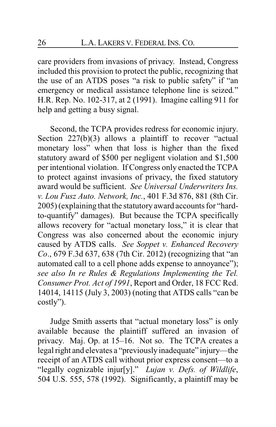care providers from invasions of privacy. Instead, Congress included this provision to protect the public, recognizing that the use of an ATDS poses "a risk to public safety" if "an emergency or medical assistance telephone line is seized*.*" H.R. Rep. No. 102-317, at 2 (1991). Imagine calling 911 for help and getting a busy signal.

Second, the TCPA provides redress for economic injury. Section 227(b)(3) allows a plaintiff to recover "actual monetary loss" when that loss is higher than the fixed statutory award of \$500 per negligent violation and \$1,500 per intentional violation. If Congress only enacted the TCPA to protect against invasions of privacy, the fixed statutory award would be sufficient. *See Universal Underwriters Ins. v. Lou Fusz Auto. Network, Inc.*, 401 F.3d 876, 881 (8th Cir. 2005) (explaining that the statutory award accounts for "hardto-quantify" damages). But because the TCPA specifically allows recovery for "actual monetary loss," it is clear that Congress was also concerned about the economic injury caused by ATDS calls. *See Soppet v. Enhanced Recovery Co*., 679 F.3d 637, 638 (7th Cir. 2012) (recognizing that "an automated call to a cell phone adds expense to annoyance"); *see also In re Rules & Regulations Implementing the Tel. Consumer Prot. Act of 1991*, Report and Order, 18 FCC Rcd. 14014, 14115 (July 3, 2003) (noting that ATDS calls "can be costly").

Judge Smith asserts that "actual monetary loss" is only available because the plaintiff suffered an invasion of privacy. Maj. Op. at 15–16. Not so. The TCPA creates a legal right and elevates a "previously inadequate" injury—the receipt of an ATDS call without prior express consent—to a "legally cognizable injur[y]." *Lujan v. Defs. of Wildlife*, 504 U.S. 555, 578 (1992). Significantly, a plaintiff may be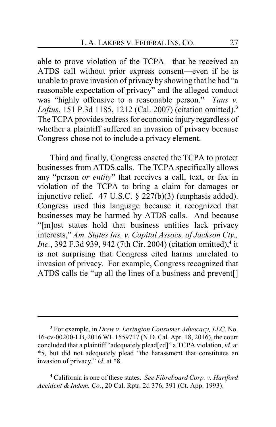able to prove violation of the TCPA—that he received an ATDS call without prior express consent—even if he is unable to prove invasion of privacy by showing that he had "a reasonable expectation of privacy" and the alleged conduct was "highly offensive to a reasonable person." *Taus v. Loftus*, 151 P.3d 1185, 1212 (Cal. 2007) (citation omitted). **3** The TCPA provides redress for economic injury regardless of whether a plaintiff suffered an invasion of privacy because Congress chose not to include a privacy element.

Third and finally, Congress enacted the TCPA to protect businesses from ATDS calls. The TCPA specifically allows any "person *or entity*" that receives a call, text, or fax in violation of the TCPA to bring a claim for damages or injunctive relief. 47 U.S.C. § 227(b)(3) (emphasis added). Congress used this language because it recognized that businesses may be harmed by ATDS calls. And because "[m]ost states hold that business entities lack privacy interests," *Am. States Ins. v. Capital Assocs. of Jackson Cty., Inc.*, 392 F.3d 939, 942 (7th Cir. 2004) (citation omitted),**<sup>4</sup>** it is not surprising that Congress cited harms unrelated to invasion of privacy. For example, Congress recognized that ATDS calls tie "up all the lines of a business and prevent[]

**<sup>3</sup>** For example, in *Drew v. Lexington Consumer Advocacy, LLC*, No. 16-cv-00200-LB, 2016 WL 1559717 (N.D. Cal. Apr. 18, 2016), the court concluded that a plaintiff "adequately plead[ed]" a TCPA violation, *id.* at \*5, but did not adequately plead "the harassment that constitutes an invasion of privacy," *id.* at \*8.

**<sup>4</sup>** California is one of these states. *See Fibreboard Corp. v. Hartford Accident & Indem. Co.*, 20 Cal. Rptr. 2d 376, 391 (Ct. App. 1993).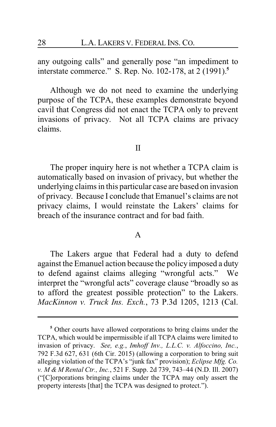any outgoing calls" and generally pose "an impediment to interstate commerce." S. Rep. No. 102-178, at 2 (1991).**<sup>5</sup>**

Although we do not need to examine the underlying purpose of the TCPA, these examples demonstrate beyond cavil that Congress did not enact the TCPA only to prevent invasions of privacy. Not all TCPA claims are privacy claims.

II

The proper inquiry here is not whether a TCPA claim is automatically based on invasion of privacy, but whether the underlying claims in this particular case are based on invasion of privacy. Because I conclude that Emanuel's claims are not privacy claims, I would reinstate the Lakers' claims for breach of the insurance contract and for bad faith.

#### A

The Lakers argue that Federal had a duty to defend against the Emanuel action because the policy imposed a duty to defend against claims alleging "wrongful acts." We interpret the "wrongful acts" coverage clause "broadly so as to afford the greatest possible protection" to the Lakers. *MacKinnon v. Truck Ins. Exch.*, 73 P.3d 1205, 1213 (Cal.

**<sup>5</sup>** Other courts have allowed corporations to bring claims under the TCPA, which would be impermissible if all TCPA claims were limited to invasion of privacy. *See, e.g.*, *Imhoff Inv., L.L.C. v. Alfoccino, Inc.*, 792 F.3d 627, 631 (6th Cir. 2015) (allowing a corporation to bring suit alleging violation of the TCPA's "junk fax" provision); *Eclipse Mfg. Co. v. M & M Rental Ctr., Inc.*, 521 F. Supp. 2d 739, 743–44 (N.D. Ill. 2007) ("[C]orporations bringing claims under the TCPA may only assert the property interests [that] the TCPA was designed to protect.").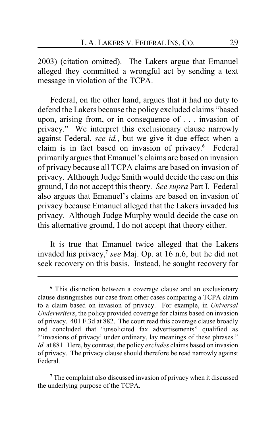2003) (citation omitted). The Lakers argue that Emanuel alleged they committed a wrongful act by sending a text message in violation of the TCPA.

Federal, on the other hand, argues that it had no duty to defend the Lakers because the policy excluded claims "based upon, arising from, or in consequence of . . . invasion of privacy." We interpret this exclusionary clause narrowly against Federal, *see id.*, but we give it due effect when a claim is in fact based on invasion of privacy. **<sup>6</sup>** Federal primarily argues that Emanuel's claims are based on invasion of privacy because all TCPA claims are based on invasion of privacy. Although Judge Smith would decide the case on this ground, I do not accept this theory. *See supra* Part I. Federal also argues that Emanuel's claims are based on invasion of privacy because Emanuel alleged that the Lakers invaded his privacy. Although Judge Murphy would decide the case on this alternative ground, I do not accept that theory either.

It is true that Emanuel twice alleged that the Lakers invaded his privacy, **7** *see* Maj. Op. at 16 n.6, but he did not seek recovery on this basis. Instead, he sought recovery for

**<sup>6</sup>** This distinction between a coverage clause and an exclusionary clause distinguishes our case from other cases comparing a TCPA claim to a claim based on invasion of privacy. For example, in *Universal Underwriters*, the policy provided coverage for claims based on invasion of privacy. 401 F.3d at 882. The court read this coverage clause broadly and concluded that "unsolicited fax advertisements" qualified as "'invasions of privacy' under ordinary, lay meanings of these phrases." *Id.* at 881. Here, by contrast, the policy *excludes* claims based on invasion of privacy. The privacy clause should therefore be read narrowly against Federal.

**<sup>7</sup>** The complaint also discussed invasion of privacy when it discussed the underlying purpose of the TCPA.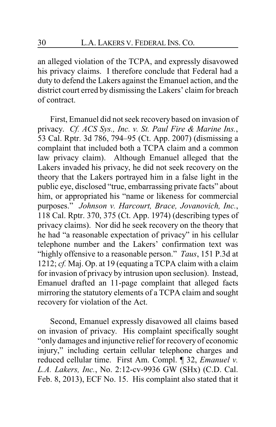an alleged violation of the TCPA, and expressly disavowed his privacy claims. I therefore conclude that Federal had a duty to defend the Lakers against the Emanuel action, and the district court erred by dismissing the Lakers' claim for breach of contract.

First, Emanuel did not seek recovery based on invasion of privacy. *Cf. ACS Sys., Inc. v. St. Paul Fire & Marine Ins.*, 53 Cal. Rptr. 3d 786, 794–95 (Ct. App. 2007) (dismissing a complaint that included both a TCPA claim and a common law privacy claim). Although Emanuel alleged that the Lakers invaded his privacy, he did not seek recovery on the theory that the Lakers portrayed him in a false light in the public eye, disclosed "true, embarrassing private facts" about him, or appropriated his "name or likeness for commercial purposes." *Johnson v. Harcourt, Brace, Jovanovich, Inc.*, 118 Cal. Rptr. 370, 375 (Ct. App. 1974) (describing types of privacy claims). Nor did he seek recovery on the theory that he had "a reasonable expectation of privacy" in his cellular telephone number and the Lakers' confirmation text was "highly offensive to a reasonable person." *Taus*, 151 P.3d at 1212; *cf.* Maj. Op. at 19 (equating a TCPA claim with a claim for invasion of privacy by intrusion upon seclusion). Instead, Emanuel drafted an 11-page complaint that alleged facts mirroring the statutory elements of a TCPA claim and sought recovery for violation of the Act.

Second, Emanuel expressly disavowed all claims based on invasion of privacy. His complaint specifically sought "only damages and injunctive relief for recovery of economic injury," including certain cellular telephone charges and reduced cellular time. First Am. Compl. ¶ 32, *Emanuel v. L.A. Lakers, Inc.*, No. 2:12-cv-9936 GW (SHx) (C.D. Cal. Feb. 8, 2013), ECF No. 15. His complaint also stated that it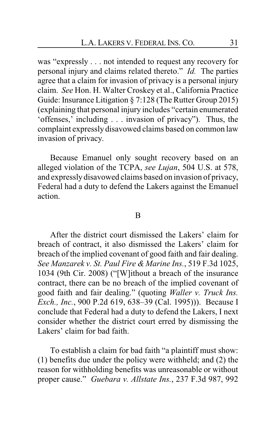was "expressly . . . not intended to request any recovery for personal injury and claims related thereto." *Id.* The parties agree that a claim for invasion of privacy is a personal injury claim. *See* Hon. H. Walter Croskey et al., California Practice Guide: Insurance Litigation § 7:128 (The Rutter Group 2015) (explaining that personal injury includes "certain enumerated 'offenses,' including . . . invasion of privacy"). Thus, the complaint expressly disavowed claims based on common law invasion of privacy.

Because Emanuel only sought recovery based on an alleged violation of the TCPA, *see Lujan*, 504 U.S. at 578, and expressly disavowed claims based on invasion of privacy, Federal had a duty to defend the Lakers against the Emanuel action.

#### B

After the district court dismissed the Lakers' claim for breach of contract, it also dismissed the Lakers' claim for breach of the implied covenant of good faith and fair dealing. *See Manzarek v. St. Paul Fire & Marine Ins.*, 519 F.3d 1025, 1034 (9th Cir. 2008) ("[W]ithout a breach of the insurance contract, there can be no breach of the implied covenant of good faith and fair dealing." (quoting *Waller v. Truck Ins. Exch., Inc.*, 900 P.2d 619, 638–39 (Cal. 1995))). Because I conclude that Federal had a duty to defend the Lakers, I next consider whether the district court erred by dismissing the Lakers' claim for bad faith.

To establish a claim for bad faith "a plaintiff must show: (1) benefits due under the policy were withheld; and (2) the reason for withholding benefits was unreasonable or without proper cause." *Guebara v. Allstate Ins.*, 237 F.3d 987, 992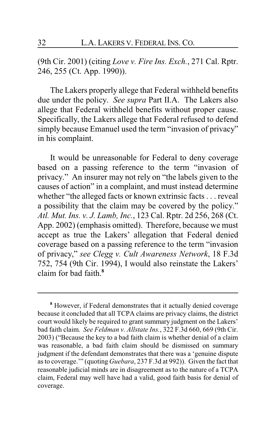(9th Cir. 2001) (citing *Love v. Fire Ins. Exch.*, 271 Cal. Rptr. 246, 255 (Ct. App. 1990)).

The Lakers properly allege that Federal withheld benefits due under the policy. *See supra* Part II.A. The Lakers also allege that Federal withheld benefits without proper cause. Specifically, the Lakers allege that Federal refused to defend simply because Emanuel used the term "invasion of privacy" in his complaint.

It would be unreasonable for Federal to deny coverage based on a passing reference to the term "invasion of privacy." An insurer may not rely on "the labels given to the causes of action" in a complaint, and must instead determine whether "the alleged facts or known extrinsic facts . . . reveal a possibility that the claim may be covered by the policy." *Atl. Mut. Ins. v. J. Lamb, Inc.*, 123 Cal. Rptr. 2d 256, 268 (Ct. App. 2002) (emphasis omitted). Therefore, because we must accept as true the Lakers' allegation that Federal denied coverage based on a passing reference to the term "invasion of privacy," *see Clegg v. Cult Awareness Network*, 18 F.3d 752, 754 (9th Cir. 1994), I would also reinstate the Lakers' claim for bad faith.**<sup>8</sup>**

**<sup>8</sup>** However, if Federal demonstrates that it actually denied coverage because it concluded that all TCPA claims are privacy claims, the district court would likely be required to grant summary judgment on the Lakers' bad faith claim. *See Feldman v. Allstate Ins.*, 322 F.3d 660, 669 (9th Cir. 2003) ("Because the key to a bad faith claim is whether denial of a claim was reasonable, a bad faith claim should be dismissed on summary judgment if the defendant demonstrates that there was a 'genuine dispute as to coverage.'" (quoting *Guebara*, 237 F.3d at 992)). Given the fact that reasonable judicial minds are in disagreement as to the nature of a TCPA claim, Federal may well have had a valid, good faith basis for denial of coverage.